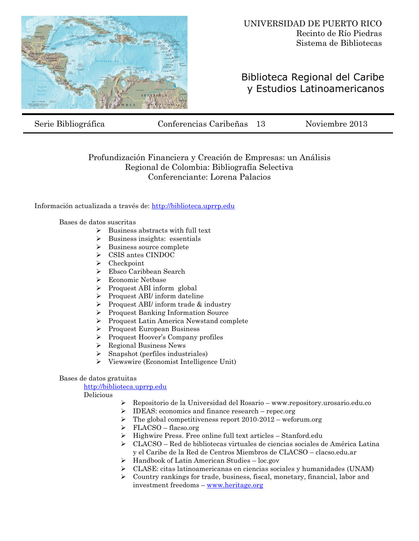

## Biblioteca Regional del Caribe y Estudios Latinoamericanos

Serie Bibliográfica Conferencias Caribeñas 13 Noviembre 2013

## Profundización Financiera y Creación de Empresas: un Análisis Regional de Colombia: Bibliografía Selectiva Conferenciante: Lorena Palacios

Información actualizada a través de: [http://biblioteca.uprrp.edu](http://biblioteca.uprrp.edu/)

Bases de datos suscritas

- $\triangleright$  Business abstracts with full text
- $\triangleright$  Business insights: essentials
- $\triangleright$  Business source complete
- CSIS antes CINDOC
- > Checkpoint
- Ebsco Caribbean Search
- Economic Netbase
- $\triangleright$  Proquest ABI inform global
- Proquest ABI/ inform dateline
- $\triangleright$  Proquest ABI/ inform trade & industry
- Proquest Banking Information Source
- Proquest Latin America Newstand complete
- Proquest European Business
- Proquest Hoover's Company profiles
- $\triangleright$  Regional Business News
- $\triangleright$  Snapshot (perfiles industriales)
- Viewswire (Economist Intelligence Unit)

## Bases de datos gratuitas

[http://biblioteca.uprrp.edu](http://biblioteca.uprrp.edu/)

Delicious

- Repositorio de la Universidad del Rosario www.repository.urosario.edu.co
	- IDEAS: economics and finance research repec.org
- $\triangleright$  The global competitiveness report 2010-2012 weforum.org
- $\triangleright$  FLACSO flacso.org
- $\triangleright$  Highwire Press. Free online full text articles Stanford.edu
- $\triangleright$  CLACSO Red de bibliotecas virtuales de ciencias sociales de América Latina y el Caribe de la Red de Centros Miembros de CLACSO – clacso.edu.ar
- $\triangleright$  Handbook of Latin American Studies loc.gov
- $\triangleright$  CLASE: citas latinoamericanas en ciencias sociales y humanidades (UNAM)
- Country rankings for trade, business, fiscal, monetary, financial, labor and investment freedoms – [www.heritage.org](http://www.heritage.org/)